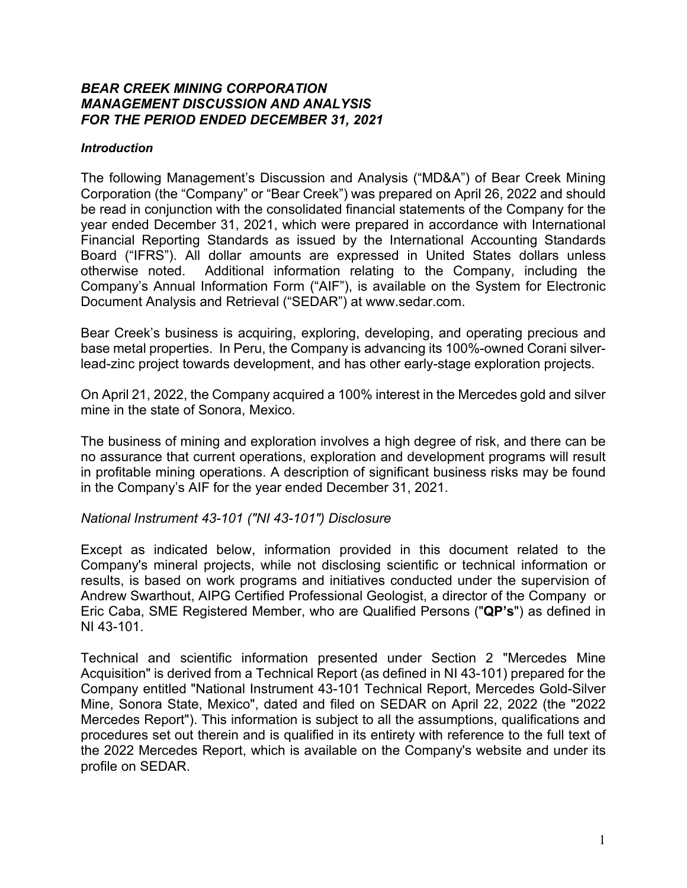#### *BEAR CREEK MINING CORPORATION MANAGEMENT DISCUSSION AND ANALYSIS FOR THE PERIOD ENDED DECEMBER 31, 2021*

#### *Introduction*

The following Management's Discussion and Analysis ("MD&A") of Bear Creek Mining Corporation (the "Company" or "Bear Creek") was prepared on April 26, 2022 and should be read in conjunction with the consolidated financial statements of the Company for the year ended December 31, 2021, which were prepared in accordance with International Financial Reporting Standards as issued by the International Accounting Standards Board ("IFRS"). All dollar amounts are expressed in United States dollars unless otherwise noted. Additional information relating to the Company, including the Company's Annual Information Form ("AIF"), is available on the System for Electronic Document Analysis and Retrieval ("SEDAR") at www.sedar.com.

Bear Creek's business is acquiring, exploring, developing, and operating precious and base metal properties. In Peru, the Company is advancing its 100%-owned Corani silverlead-zinc project towards development, and has other early-stage exploration projects.

On April 21, 2022, the Company acquired a 100% interest in the Mercedes gold and silver mine in the state of Sonora, Mexico.

The business of mining and exploration involves a high degree of risk, and there can be no assurance that current operations, exploration and development programs will result in profitable mining operations. A description of significant business risks may be found in the Company's AIF for the year ended December 31, 2021.

#### *National Instrument 43-101 ("NI 43-101") Disclosure*

Except as indicated below, information provided in this document related to the Company's mineral projects, while not disclosing scientific or technical information or results, is based on work programs and initiatives conducted under the supervision of Andrew Swarthout, AIPG Certified Professional Geologist, a director of the Company or Eric Caba, SME Registered Member, who are Qualified Persons ("**QP's**") as defined in NI 43-101.

Technical and scientific information presented under Section 2 "Mercedes Mine Acquisition" is derived from a Technical Report (as defined in NI 43-101) prepared for the Company entitled "National Instrument 43-101 Technical Report, Mercedes Gold-Silver Mine, Sonora State, Mexico", dated and filed on SEDAR on April 22, 2022 (the "2022 Mercedes Report"). This information is subject to all the assumptions, qualifications and procedures set out therein and is qualified in its entirety with reference to the full text of the 2022 Mercedes Report, which is available on the Company's website and under its profile on SEDAR.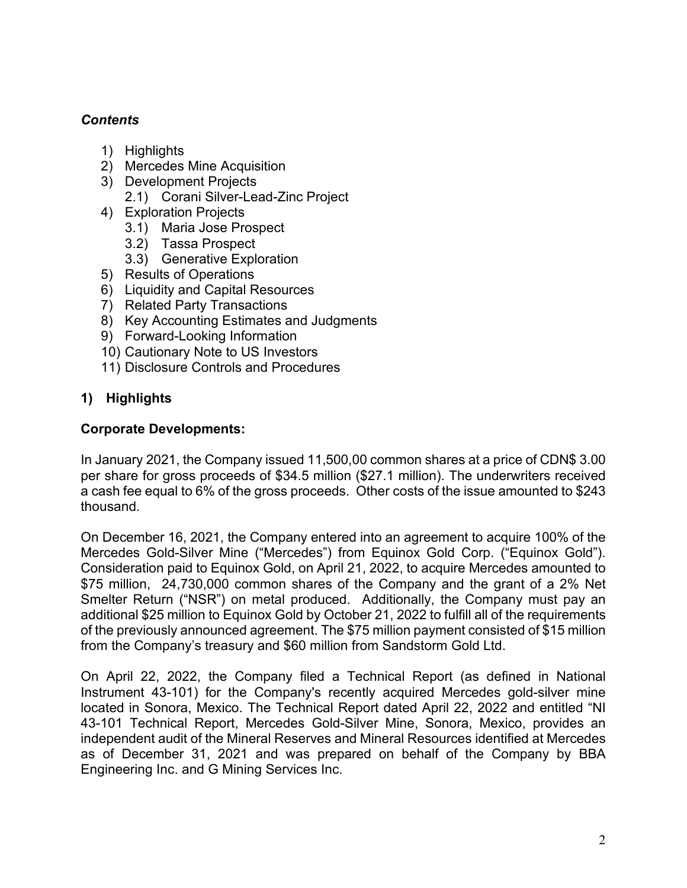# *Contents*

- 1) Highlights
- 2) Mercedes Mine Acquisition
- 3) Development Projects
	- 2.1) Corani Silver-Lead-Zinc Project
- 4) Exploration Projects
	- 3.1) Maria Jose Prospect
	- 3.2) Tassa Prospect
	- 3.3) Generative Exploration
- 5) Results of Operations
- 6) Liquidity and Capital Resources
- 7) Related Party Transactions
- 8) Key Accounting Estimates and Judgments
- 9) Forward-Looking Information
- 10) Cautionary Note to US Investors
- 11) Disclosure Controls and Procedures

# **1) Highlights**

### **Corporate Developments:**

In January 2021, the Company issued 11,500,00 common shares at a price of CDN\$ 3.00 per share for gross proceeds of \$34.5 million (\$27.1 million). The underwriters received a cash fee equal to 6% of the gross proceeds. Other costs of the issue amounted to \$243 thousand.

On December 16, 2021, the Company entered into an agreement to acquire 100% of the Mercedes Gold-Silver Mine ("Mercedes") from Equinox Gold Corp. ("Equinox Gold"). Consideration paid to Equinox Gold, on April 21, 2022, to acquire Mercedes amounted to \$75 million, 24,730,000 common shares of the Company and the grant of a 2% Net Smelter Return ("NSR") on metal produced. Additionally, the Company must pay an additional \$25 million to Equinox Gold by October 21, 2022 to fulfill all of the requirements of the previously announced agreement. The \$75 million payment consisted of \$15 million from the Company's treasury and \$60 million from Sandstorm Gold Ltd.

On April 22, 2022, the Company filed a Technical Report (as defined in National Instrument 43-101) for the Company's recently acquired Mercedes gold-silver mine located in Sonora, Mexico. The Technical Report dated April 22, 2022 and entitled "NI 43-101 Technical Report, Mercedes Gold-Silver Mine, Sonora, Mexico, provides an independent audit of the Mineral Reserves and Mineral Resources identified at Mercedes as of December 31, 2021 and was prepared on behalf of the Company by BBA Engineering Inc. and G Mining Services Inc.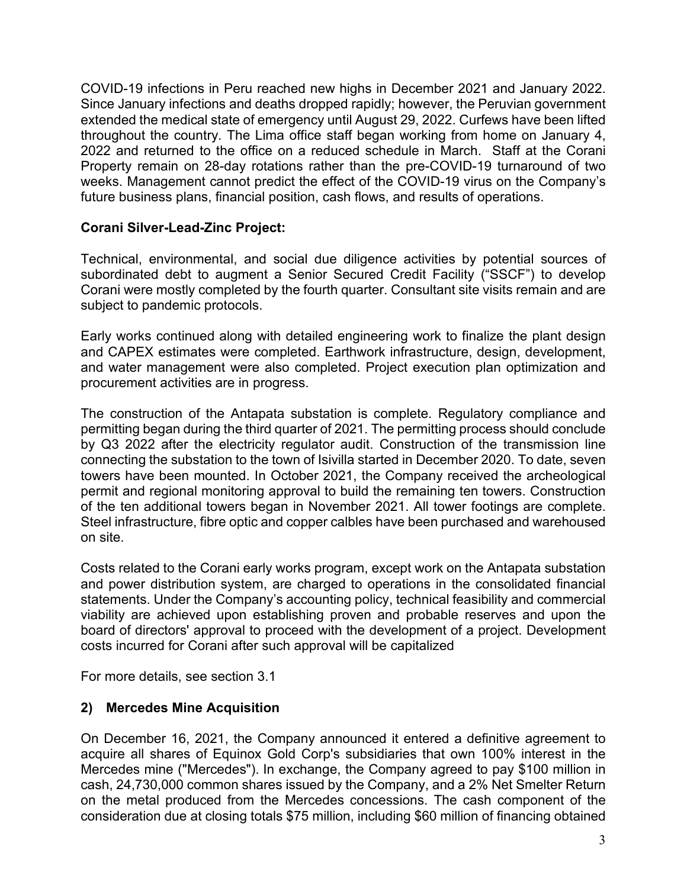COVID-19 infections in Peru reached new highs in December 2021 and January 2022. Since January infections and deaths dropped rapidly; however, the Peruvian government extended the medical state of emergency until August 29, 2022. Curfews have been lifted throughout the country. The Lima office staff began working from home on January 4, 2022 and returned to the office on a reduced schedule in March. Staff at the Corani Property remain on 28-day rotations rather than the pre-COVID-19 turnaround of two weeks. Management cannot predict the effect of the COVID-19 virus on the Company's future business plans, financial position, cash flows, and results of operations.

### **Corani Silver-Lead-Zinc Project:**

Technical, environmental, and social due diligence activities by potential sources of subordinated debt to augment a Senior Secured Credit Facility ("SSCF") to develop Corani were mostly completed by the fourth quarter. Consultant site visits remain and are subject to pandemic protocols.

Early works continued along with detailed engineering work to finalize the plant design and CAPEX estimates were completed. Earthwork infrastructure, design, development, and water management were also completed. Project execution plan optimization and procurement activities are in progress.

The construction of the Antapata substation is complete. Regulatory compliance and permitting began during the third quarter of 2021. The permitting process should conclude by Q3 2022 after the electricity regulator audit. Construction of the transmission line connecting the substation to the town of Isivilla started in December 2020. To date, seven towers have been mounted. In October 2021, the Company received the archeological permit and regional monitoring approval to build the remaining ten towers. Construction of the ten additional towers began in November 2021. All tower footings are complete. Steel infrastructure, fibre optic and copper calbles have been purchased and warehoused on site.

Costs related to the Corani early works program, except work on the Antapata substation and power distribution system, are charged to operations in the consolidated financial statements. Under the Company's accounting policy, technical feasibility and commercial viability are achieved upon establishing proven and probable reserves and upon the board of directors' approval to proceed with the development of a project. Development costs incurred for Corani after such approval will be capitalized

For more details, see section 3.1

## **2) Mercedes Mine Acquisition**

On December 16, 2021, the Company announced it entered a definitive agreement to acquire all shares of Equinox Gold Corp's subsidiaries that own 100% interest in the Mercedes mine ("Mercedes"). In exchange, the Company agreed to pay \$100 million in cash, 24,730,000 common shares issued by the Company, and a 2% Net Smelter Return on the metal produced from the Mercedes concessions. The cash component of the consideration due at closing totals \$75 million, including \$60 million of financing obtained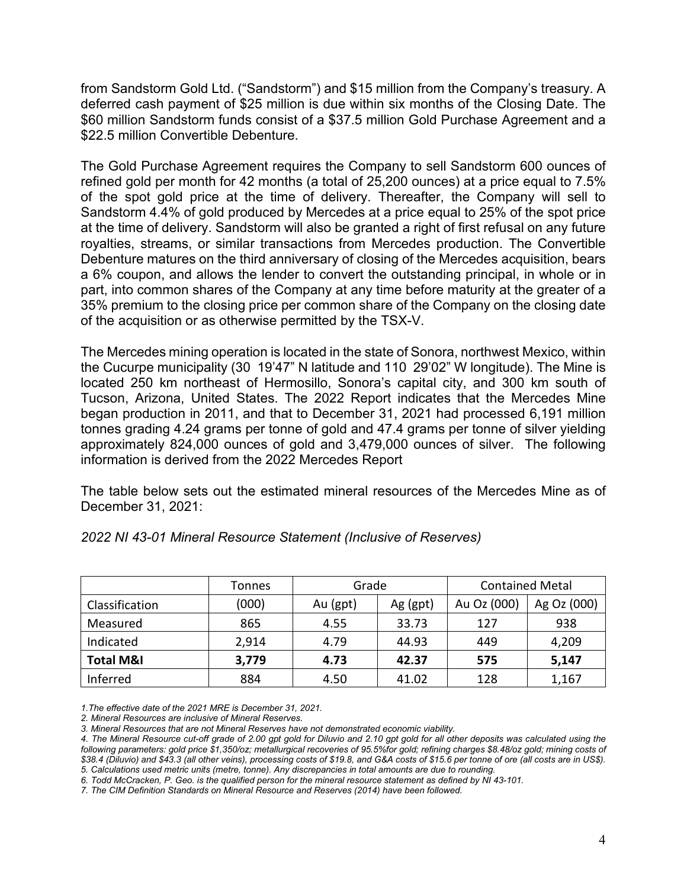from Sandstorm Gold Ltd. ("Sandstorm") and \$15 million from the Company's treasury. A deferred cash payment of \$25 million is due within six months of the Closing Date. The \$60 million Sandstorm funds consist of a \$37.5 million Gold Purchase Agreement and a \$22.5 million Convertible Debenture.

The Gold Purchase Agreement requires the Company to sell Sandstorm 600 ounces of refined gold per month for 42 months (a total of 25,200 ounces) at a price equal to 7.5% of the spot gold price at the time of delivery. Thereafter, the Company will sell to Sandstorm 4.4% of gold produced by Mercedes at a price equal to 25% of the spot price at the time of delivery. Sandstorm will also be granted a right of first refusal on any future royalties, streams, or similar transactions from Mercedes production. The Convertible Debenture matures on the third anniversary of closing of the Mercedes acquisition, bears a 6% coupon, and allows the lender to convert the outstanding principal, in whole or in part, into common shares of the Company at any time before maturity at the greater of a 35% premium to the closing price per common share of the Company on the closing date of the acquisition or as otherwise permitted by the TSX-V.

The Mercedes mining operation is located in the state of Sonora, northwest Mexico, within the Cucurpe municipality (30 19'47" N latitude and 110 29'02" W longitude). The Mine is located 250 km northeast of Hermosillo, Sonora's capital city, and 300 km south of Tucson, Arizona, United States. The 2022 Report indicates that the Mercedes Mine began production in 2011, and that to December 31, 2021 had processed 6,191 million tonnes grading 4.24 grams per tonne of gold and 47.4 grams per tonne of silver yielding approximately 824,000 ounces of gold and 3,479,000 ounces of silver. The following information is derived from the 2022 Mercedes Report

The table below sets out the estimated mineral resources of the Mercedes Mine as of December 31, 2021:

|                      | Tonnes | Grade    |          | <b>Contained Metal</b> |             |
|----------------------|--------|----------|----------|------------------------|-------------|
| Classification       | (000)  | Au (gpt) | Ag (gpt) | Au Oz (000)            | Ag Oz (000) |
| Measured             | 865    | 4.55     | 33.73    | 127                    | 938         |
| Indicated            | 2,914  | 4.79     | 44.93    | 449                    | 4,209       |
| <b>Total M&amp;I</b> | 3,779  | 4.73     | 42.37    | 575                    | 5,147       |
| Inferred             | 884    | 4.50     | 41.02    | 128                    | 1,167       |

*2022 NI 43-01 Mineral Resource Statement (Inclusive of Reserves)*

*1.The effective date of the 2021 MRE is December 31, 2021.*

*2. Mineral Resources are inclusive of Mineral Reserves.*

*3. Mineral Resources that are not Mineral Reserves have not demonstrated economic viability.*

*6. Todd McCracken, P. Geo. is the qualified person for the mineral resource statement as defined by NI 43-101.*

*7. The CIM Definition Standards on Mineral Resource and Reserves (2014) have been followed.*

*<sup>4.</sup> The Mineral Resource cut-off grade of 2.00 gpt gold for Diluvio and 2.10 gpt gold for all other deposits was calculated using the following parameters: gold price \$1,350/oz; metallurgical recoveries of 95.5%for gold; refining charges \$8.48/oz gold; mining costs of \$38.4 (Diluvio) and \$43.3 (all other veins), processing costs of \$19.8, and G&A costs of \$15.6 per tonne of ore (all costs are in US\$). 5. Calculations used metric units (metre, tonne). Any discrepancies in total amounts are due to rounding.*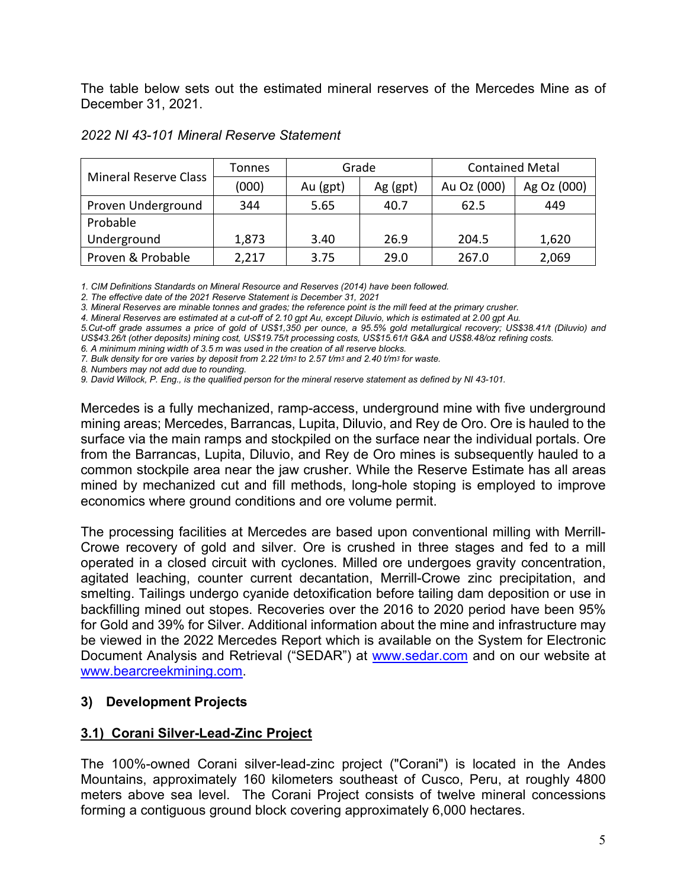The table below sets out the estimated mineral reserves of the Mercedes Mine as of December 31, 2021.

| <b>Mineral Reserve Class</b> | Tonnes | Grade    |          | <b>Contained Metal</b> |             |
|------------------------------|--------|----------|----------|------------------------|-------------|
|                              | (000)  | Au (gpt) | Ag (gpt) | Au Oz (000)            | Ag Oz (000) |
| Proven Underground           | 344    | 5.65     | 40.7     | 62.5                   | 449         |
| Probable                     |        |          |          |                        |             |
| Underground                  | 1,873  | 3.40     | 26.9     | 204.5                  | 1,620       |
| Proven & Probable            | 2,217  | 3.75     | 29.0     | 267.0                  | 2,069       |

#### *2022 NI 43-101 Mineral Reserve Statement*

*1. CIM Definitions Standards on Mineral Resource and Reserves (2014) have been followed.*

*2. The effective date of the 2021 Reserve Statement is December 31, 2021*

*3. Mineral Reserves are minable tonnes and grades; the reference point is the mill feed at the primary crusher.*

*4. Mineral Reserves are estimated at a cut-off of 2.10 gpt Au, except Diluvio, which is estimated at 2.00 gpt Au.*

*5.Cut-off grade assumes a price of gold of US\$1,350 per ounce, a 95.5% gold metallurgical recovery; US\$38.41/t (Diluvio) and US\$43.26/t (other deposits) mining cost, US\$19.75/t processing costs, US\$15.61/t G&A and US\$8.48/oz refining costs.*

*6. A minimum mining width of 3.5 m was used in the creation of all reserve blocks.*

*7. Bulk density for ore varies by deposit from 2.22 t/mᶾ to 2.57 t/mᶾ and 2.40 t/mᶾ for waste.*

*8. Numbers may not add due to rounding.*

*9. David Willock, P. Eng., is the qualified person for the mineral reserve statement as defined by NI 43-101.*

Mercedes is a fully mechanized, ramp-access, underground mine with five underground mining areas; Mercedes, Barrancas, Lupita, Diluvio, and Rey de Oro. Ore is hauled to the surface via the main ramps and stockpiled on the surface near the individual portals. Ore from the Barrancas, Lupita, Diluvio, and Rey de Oro mines is subsequently hauled to a common stockpile area near the jaw crusher. While the Reserve Estimate has all areas mined by mechanized cut and fill methods, long-hole stoping is employed to improve economics where ground conditions and ore volume permit.

The processing facilities at Mercedes are based upon conventional milling with Merrill-Crowe recovery of gold and silver. Ore is crushed in three stages and fed to a mill operated in a closed circuit with cyclones. Milled ore undergoes gravity concentration, agitated leaching, counter current decantation, Merrill-Crowe zinc precipitation, and smelting. Tailings undergo cyanide detoxification before tailing dam deposition or use in backfilling mined out stopes. Recoveries over the 2016 to 2020 period have been 95% for Gold and 39% for Silver. Additional information about the mine and infrastructure may be viewed in the 2022 Mercedes Report which is available on the System for Electronic Document Analysis and Retrieval ("SEDAR") at [www.sedar.com](http://www.sedar.com/) and on our website at [www.bearcreekmining.com.](http://www.bearcreekmining.com/)

#### **3) Development Projects**

#### **3.1) Corani Silver-Lead-Zinc Project**

The 100%-owned Corani silver-lead-zinc project ("Corani") is located in the Andes Mountains, approximately 160 kilometers southeast of Cusco, Peru, at roughly 4800 meters above sea level. The Corani Project consists of twelve mineral concessions forming a contiguous ground block covering approximately 6,000 hectares.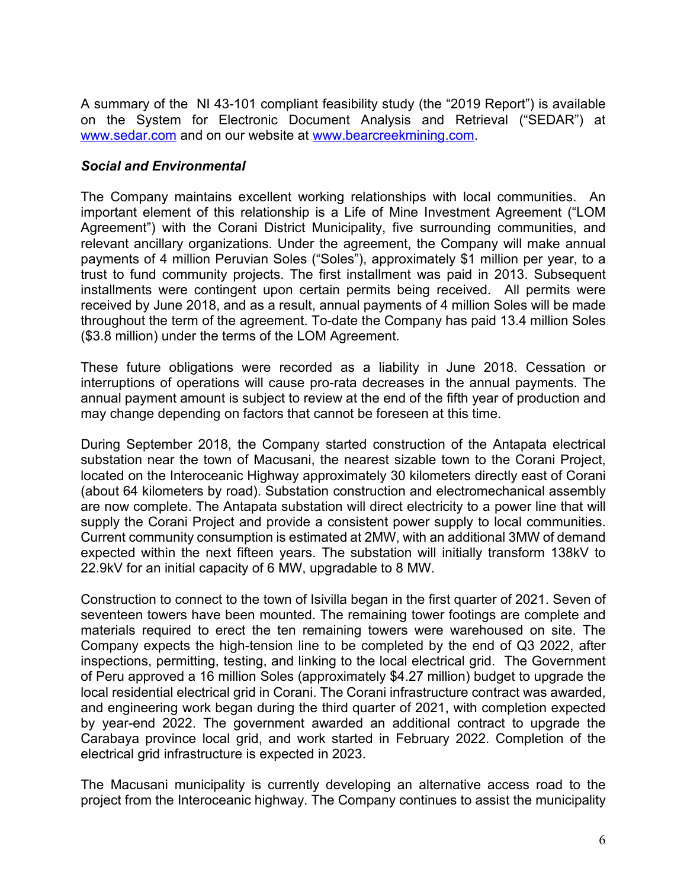A summary of the NI 43-101 compliant feasibility study (the "2019 Report") is available on the System for Electronic Document Analysis and Retrieval ("SEDAR") at [www.sedar.com](http://www.sedar.com/) and on our website at [www.bearcreekmining.com.](http://www.bearcreekmining.com/)

### *Social and Environmental*

The Company maintains excellent working relationships with local communities. An important element of this relationship is a Life of Mine Investment Agreement ("LOM Agreement") with the Corani District Municipality, five surrounding communities, and relevant ancillary organizations. Under the agreement, the Company will make annual payments of 4 million Peruvian Soles ("Soles"), approximately \$1 million per year, to a trust to fund community projects. The first installment was paid in 2013. Subsequent installments were contingent upon certain permits being received. All permits were received by June 2018, and as a result, annual payments of 4 million Soles will be made throughout the term of the agreement. To-date the Company has paid 13.4 million Soles (\$3.8 million) under the terms of the LOM Agreement.

These future obligations were recorded as a liability in June 2018. Cessation or interruptions of operations will cause pro-rata decreases in the annual payments. The annual payment amount is subject to review at the end of the fifth year of production and may change depending on factors that cannot be foreseen at this time.

During September 2018, the Company started construction of the Antapata electrical substation near the town of Macusani, the nearest sizable town to the Corani Project, located on the Interoceanic Highway approximately 30 kilometers directly east of Corani (about 64 kilometers by road). Substation construction and electromechanical assembly are now complete. The Antapata substation will direct electricity to a power line that will supply the Corani Project and provide a consistent power supply to local communities. Current community consumption is estimated at 2MW, with an additional 3MW of demand expected within the next fifteen years. The substation will initially transform 138kV to 22.9kV for an initial capacity of 6 MW, upgradable to 8 MW.

Construction to connect to the town of Isivilla began in the first quarter of 2021. Seven of seventeen towers have been mounted. The remaining tower footings are complete and materials required to erect the ten remaining towers were warehoused on site. The Company expects the high-tension line to be completed by the end of Q3 2022, after inspections, permitting, testing, and linking to the local electrical grid. The Government of Peru approved a 16 million Soles (approximately \$4.27 million) budget to upgrade the local residential electrical grid in Corani. The Corani infrastructure contract was awarded, and engineering work began during the third quarter of 2021, with completion expected by year-end 2022. The government awarded an additional contract to upgrade the Carabaya province local grid, and work started in February 2022. Completion of the electrical grid infrastructure is expected in 2023.

The Macusani municipality is currently developing an alternative access road to the project from the Interoceanic highway. The Company continues to assist the municipality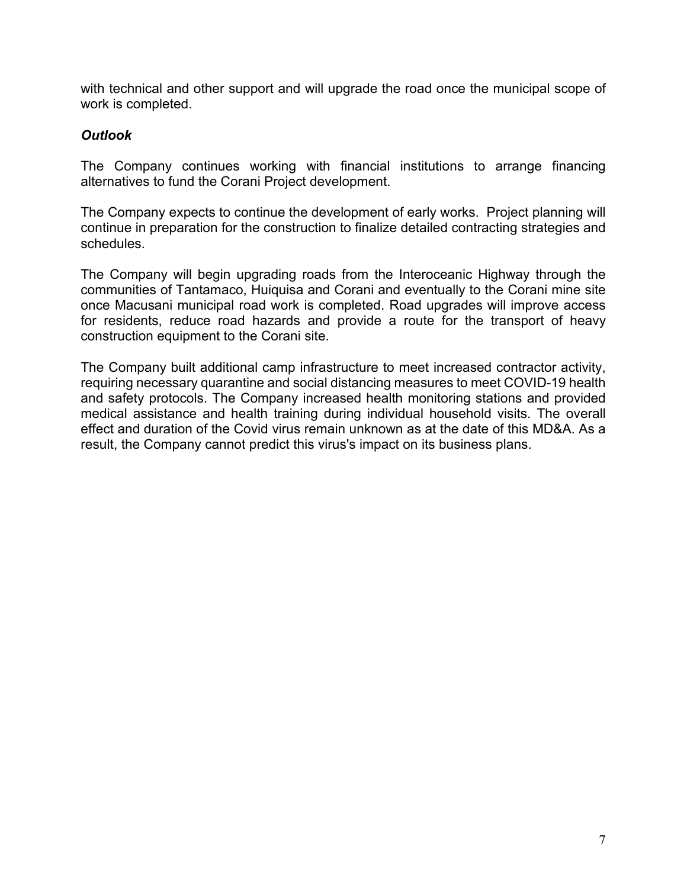with technical and other support and will upgrade the road once the municipal scope of work is completed.

#### *Outlook*

The Company continues working with financial institutions to arrange financing alternatives to fund the Corani Project development.

The Company expects to continue the development of early works. Project planning will continue in preparation for the construction to finalize detailed contracting strategies and schedules.

The Company will begin upgrading roads from the Interoceanic Highway through the communities of Tantamaco, Huiquisa and Corani and eventually to the Corani mine site once Macusani municipal road work is completed. Road upgrades will improve access for residents, reduce road hazards and provide a route for the transport of heavy construction equipment to the Corani site.

The Company built additional camp infrastructure to meet increased contractor activity, requiring necessary quarantine and social distancing measures to meet COVID-19 health and safety protocols. The Company increased health monitoring stations and provided medical assistance and health training during individual household visits. The overall effect and duration of the Covid virus remain unknown as at the date of this MD&A. As a result, the Company cannot predict this virus's impact on its business plans.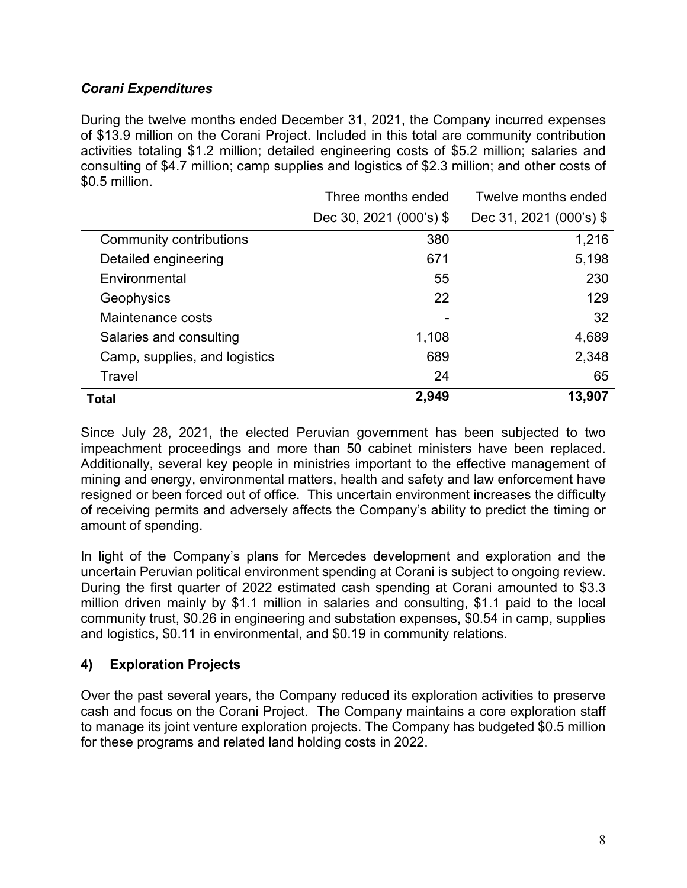## *Corani Expenditures*

During the twelve months ended December 31, 2021, the Company incurred expenses of \$13.9 million on the Corani Project. Included in this total are community contribution activities totaling \$1.2 million; detailed engineering costs of \$5.2 million; salaries and consulting of \$4.7 million; camp supplies and logistics of \$2.3 million; and other costs of \$0.5 million.

|                               | Three months ended      | Twelve months ended     |
|-------------------------------|-------------------------|-------------------------|
|                               | Dec 30, 2021 (000's) \$ | Dec 31, 2021 (000's) \$ |
| Community contributions       | 380                     | 1,216                   |
| Detailed engineering          | 671                     | 5,198                   |
| Environmental                 | 55                      | 230                     |
| Geophysics                    | 22                      | 129                     |
| Maintenance costs             |                         | 32                      |
| Salaries and consulting       | 1,108                   | 4,689                   |
| Camp, supplies, and logistics | 689                     | 2,348                   |
| Travel                        | 24                      | 65                      |
| <b>Total</b>                  | 2,949                   | 13,907                  |

Since July 28, 2021, the elected Peruvian government has been subjected to two impeachment proceedings and more than 50 cabinet ministers have been replaced. Additionally, several key people in ministries important to the effective management of mining and energy, environmental matters, health and safety and law enforcement have resigned or been forced out of office. This uncertain environment increases the difficulty of receiving permits and adversely affects the Company's ability to predict the timing or amount of spending.

In light of the Company's plans for Mercedes development and exploration and the uncertain Peruvian political environment spending at Corani is subject to ongoing review. During the first quarter of 2022 estimated cash spending at Corani amounted to \$3.3 million driven mainly by \$1.1 million in salaries and consulting, \$1.1 paid to the local community trust, \$0.26 in engineering and substation expenses, \$0.54 in camp, supplies and logistics, \$0.11 in environmental, and \$0.19 in community relations.

## **4) Exploration Projects**

Over the past several years, the Company reduced its exploration activities to preserve cash and focus on the Corani Project. The Company maintains a core exploration staff to manage its joint venture exploration projects. The Company has budgeted \$0.5 million for these programs and related land holding costs in 2022.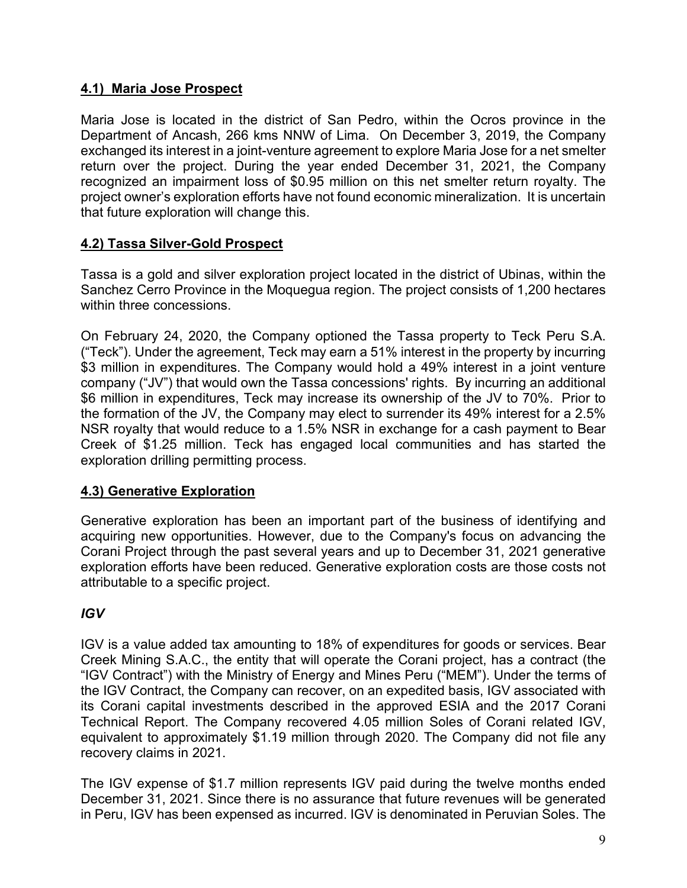# **4.1) Maria Jose Prospect**

Maria Jose is located in the district of San Pedro, within the Ocros province in the Department of Ancash, 266 kms NNW of Lima. On December 3, 2019, the Company exchanged its interest in a joint-venture agreement to explore Maria Jose for a net smelter return over the project. During the year ended December 31, 2021, the Company recognized an impairment loss of \$0.95 million on this net smelter return royalty. The project owner's exploration efforts have not found economic mineralization. It is uncertain that future exploration will change this.

# **4.2) Tassa Silver-Gold Prospect**

Tassa is a gold and silver exploration project located in the district of Ubinas, within the Sanchez Cerro Province in the Moquegua region. The project consists of 1,200 hectares within three concessions.

On February 24, 2020, the Company optioned the Tassa property to Teck Peru S.A. ("Teck"). Under the agreement, Teck may earn a 51% interest in the property by incurring \$3 million in expenditures. The Company would hold a 49% interest in a joint venture company ("JV") that would own the Tassa concessions' rights. By incurring an additional \$6 million in expenditures, Teck may increase its ownership of the JV to 70%. Prior to the formation of the JV, the Company may elect to surrender its 49% interest for a 2.5% NSR royalty that would reduce to a 1.5% NSR in exchange for a cash payment to Bear Creek of \$1.25 million. Teck has engaged local communities and has started the exploration drilling permitting process.

## **4.3) Generative Exploration**

Generative exploration has been an important part of the business of identifying and acquiring new opportunities. However, due to the Company's focus on advancing the Corani Project through the past several years and up to December 31, 2021 generative exploration efforts have been reduced. Generative exploration costs are those costs not attributable to a specific project.

## *IGV*

IGV is a value added tax amounting to 18% of expenditures for goods or services. Bear Creek Mining S.A.C., the entity that will operate the Corani project, has a contract (the "IGV Contract") with the Ministry of Energy and Mines Peru ("MEM"). Under the terms of the IGV Contract, the Company can recover, on an expedited basis, IGV associated with its Corani capital investments described in the approved ESIA and the 2017 Corani Technical Report. The Company recovered 4.05 million Soles of Corani related IGV, equivalent to approximately \$1.19 million through 2020. The Company did not file any recovery claims in 2021.

The IGV expense of \$1.7 million represents IGV paid during the twelve months ended December 31, 2021. Since there is no assurance that future revenues will be generated in Peru, IGV has been expensed as incurred. IGV is denominated in Peruvian Soles. The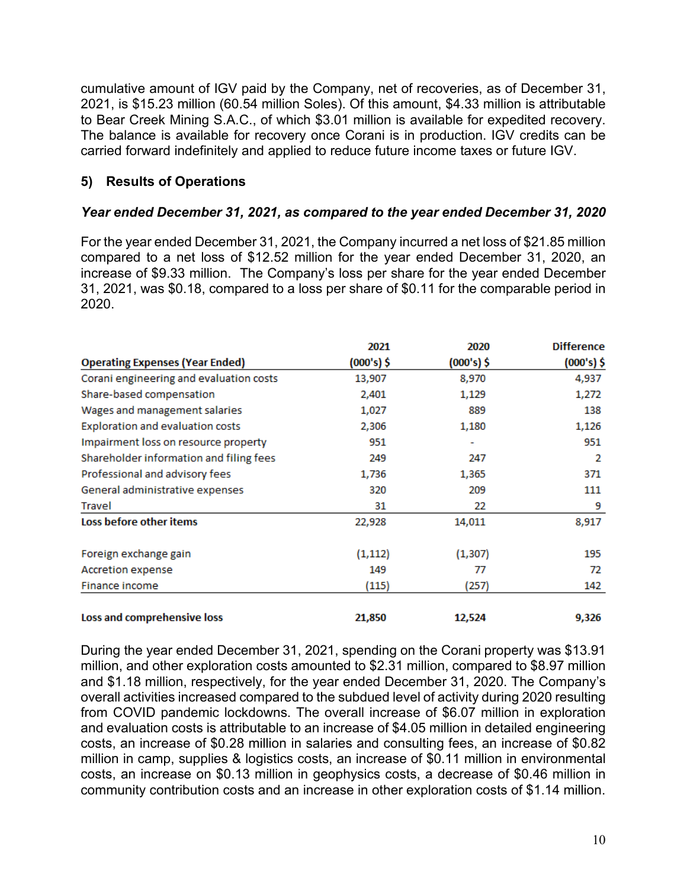cumulative amount of IGV paid by the Company, net of recoveries, as of December 31, 2021, is \$15.23 million (60.54 million Soles). Of this amount, \$4.33 million is attributable to Bear Creek Mining S.A.C., of which \$3.01 million is available for expedited recovery. The balance is available for recovery once Corani is in production. IGV credits can be carried forward indefinitely and applied to reduce future income taxes or future IGV.

# **5) Results of Operations**

## *Year ended December 31, 2021, as compared to the year ended December 31, 2020*

For the year ended December 31, 2021, the Company incurred a net loss of \$21.85 million compared to a net loss of \$12.52 million for the year ended December 31, 2020, an increase of \$9.33 million. The Company's loss per share for the year ended December 31, 2021, was \$0.18, compared to a loss per share of \$0.11 for the comparable period in 2020.

|                                         | 2021       | 2020       | <b>Difference</b> |
|-----------------------------------------|------------|------------|-------------------|
| <b>Operating Expenses (Year Ended)</b>  | (000's) \$ | (000's) \$ | $(000's)$ \$      |
| Corani engineering and evaluation costs | 13,907     | 8,970      | 4,937             |
| Share-based compensation                | 2,401      | 1,129      | 1,272             |
| Wages and management salaries           | 1,027      | 889        | 138               |
| Exploration and evaluation costs        | 2,306      | 1,180      | 1,126             |
| Impairment loss on resource property    | 951        | ٠          | 951               |
| Shareholder information and filing fees | 249        | 247        | 2                 |
| Professional and advisory fees          | 1,736      | 1,365      | 371               |
| General administrative expenses         | 320        | 209        | 111               |
| <b>Travel</b>                           | 31         | 22         | 9                 |
| Loss before other items                 | 22,928     | 14,011     | 8,917             |
| Foreign exchange gain                   | (1, 112)   | (1, 307)   | 195               |
| Accretion expense                       | 149        | 77         | 72                |
| Finance income                          | (115)      | (257)      | 142               |
| Loss and comprehensive loss             | 21,850     | 12,524     | 9,326             |

During the year ended December 31, 2021, spending on the Corani property was \$13.91 million, and other exploration costs amounted to \$2.31 million, compared to \$8.97 million and \$1.18 million, respectively, for the year ended December 31, 2020. The Company's overall activities increased compared to the subdued level of activity during 2020 resulting from COVID pandemic lockdowns. The overall increase of \$6.07 million in exploration and evaluation costs is attributable to an increase of \$4.05 million in detailed engineering costs, an increase of \$0.28 million in salaries and consulting fees, an increase of \$0.82 million in camp, supplies & logistics costs, an increase of \$0.11 million in environmental costs, an increase on \$0.13 million in geophysics costs, a decrease of \$0.46 million in community contribution costs and an increase in other exploration costs of \$1.14 million.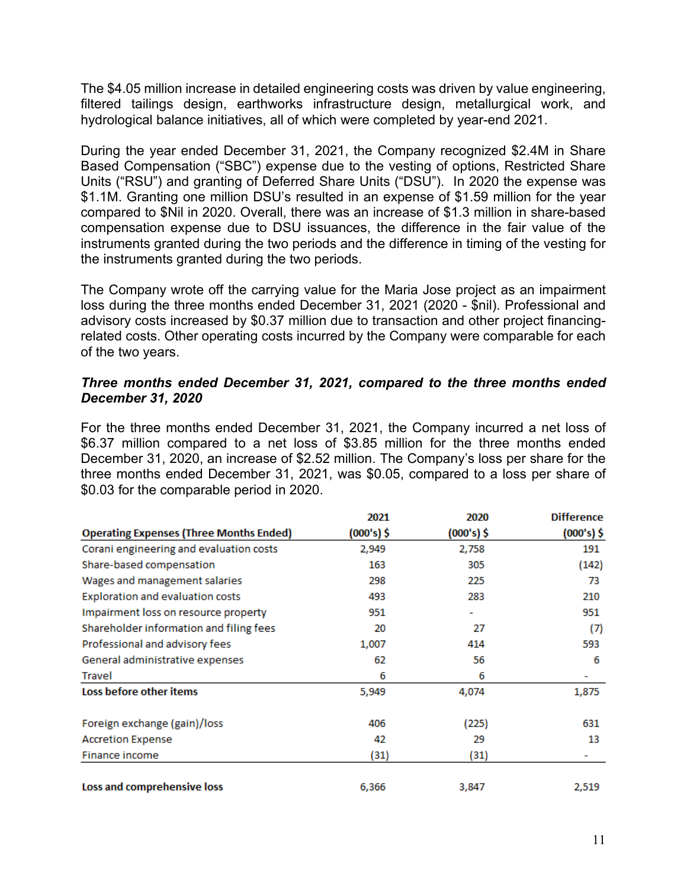The \$4.05 million increase in detailed engineering costs was driven by value engineering, filtered tailings design, earthworks infrastructure design, metallurgical work, and hydrological balance initiatives, all of which were completed by year-end 2021.

During the year ended December 31, 2021, the Company recognized \$2.4M in Share Based Compensation ("SBC") expense due to the vesting of options, Restricted Share Units ("RSU") and granting of Deferred Share Units ("DSU"). In 2020 the expense was \$1.1M. Granting one million DSU's resulted in an expense of \$1.59 million for the year compared to \$Nil in 2020. Overall, there was an increase of \$1.3 million in share-based compensation expense due to DSU issuances, the difference in the fair value of the instruments granted during the two periods and the difference in timing of the vesting for the instruments granted during the two periods.

The Company wrote off the carrying value for the Maria Jose project as an impairment loss during the three months ended December 31, 2021 (2020 - \$nil). Professional and advisory costs increased by \$0.37 million due to transaction and other project financingrelated costs. Other operating costs incurred by the Company were comparable for each of the two years.

#### *Three months ended December 31, 2021, compared to the three months ended December 31, 2020*

For the three months ended December 31, 2021, the Company incurred a net loss of \$6.37 million compared to a net loss of \$3.85 million for the three months ended December 31, 2020, an increase of \$2.52 million. The Company's loss per share for the three months ended December 31, 2021, was \$0.05, compared to a loss per share of \$0.03 for the comparable period in 2020.

|                                                | 2021       | 2020       | <b>Difference</b> |
|------------------------------------------------|------------|------------|-------------------|
| <b>Operating Expenses (Three Months Ended)</b> | (000's) \$ | (000's) \$ | $(000's)$ \$      |
| Corani engineering and evaluation costs        | 2,949      | 2,758      | 191               |
| Share-based compensation                       | 163        | 305        | (142)             |
| Wages and management salaries                  | 298        | 225        | 73                |
| Exploration and evaluation costs               | 493        | 283        | 210               |
| Impairment loss on resource property           | 951        |            | 951               |
| Shareholder information and filing fees        | 20         | 27         | (7)               |
| Professional and advisory fees                 | 1,007      | 414        | 593               |
| General administrative expenses                | 62         | 56         | 6                 |
| Travel                                         | 6          | 6          |                   |
| Loss before other items                        | 5,949      | 4,074      | 1,875             |
| Foreign exchange (gain)/loss                   | 406        | (225)      | 631               |
| <b>Accretion Expense</b>                       | 42         | 29         | 13                |
| Finance income                                 | (31)       | (31)       |                   |
| Loss and comprehensive loss                    | 6,366      | 3,847      | 2,519             |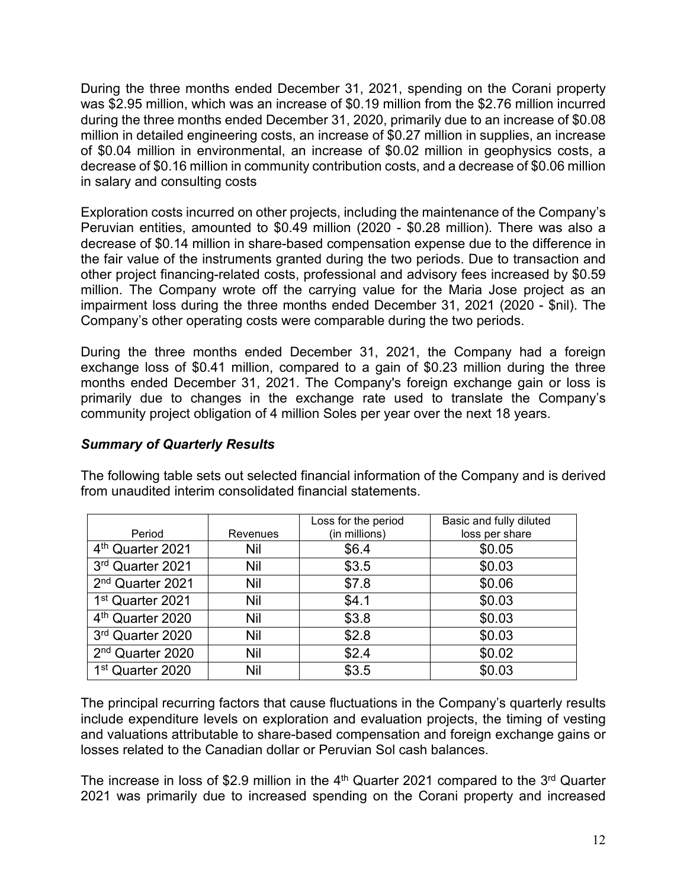During the three months ended December 31, 2021, spending on the Corani property was \$2.95 million, which was an increase of \$0.19 million from the \$2.76 million incurred during the three months ended December 31, 2020, primarily due to an increase of \$0.08 million in detailed engineering costs, an increase of \$0.27 million in supplies, an increase of \$0.04 million in environmental, an increase of \$0.02 million in geophysics costs, a decrease of \$0.16 million in community contribution costs, and a decrease of \$0.06 million in salary and consulting costs

Exploration costs incurred on other projects, including the maintenance of the Company's Peruvian entities, amounted to \$0.49 million (2020 - \$0.28 million). There was also a decrease of \$0.14 million in share-based compensation expense due to the difference in the fair value of the instruments granted during the two periods. Due to transaction and other project financing-related costs, professional and advisory fees increased by \$0.59 million. The Company wrote off the carrying value for the Maria Jose project as an impairment loss during the three months ended December 31, 2021 (2020 - \$nil). The Company's other operating costs were comparable during the two periods.

During the three months ended December 31, 2021, the Company had a foreign exchange loss of \$0.41 million, compared to a gain of \$0.23 million during the three months ended December 31, 2021. The Company's foreign exchange gain or loss is primarily due to changes in the exchange rate used to translate the Company's community project obligation of 4 million Soles per year over the next 18 years.

### *Summary of Quarterly Results*

| Period                       | <b>Revenues</b> | Loss for the period<br>(in millions) | Basic and fully diluted<br>loss per share |
|------------------------------|-----------------|--------------------------------------|-------------------------------------------|
| 4 <sup>th</sup> Quarter 2021 | Nil             | \$6.4                                | \$0.05                                    |
| 3rd Quarter 2021             | Nil             | \$3.5                                | \$0.03                                    |
| 2 <sup>nd</sup> Quarter 2021 | <b>Nil</b>      | \$7.8                                | \$0.06                                    |
| 1 <sup>st</sup> Quarter 2021 | Nil             | \$4.1                                | \$0.03                                    |
| 4 <sup>th</sup> Quarter 2020 | Nil             | \$3.8                                | \$0.03                                    |
| 3rd Quarter 2020             | Nil             | \$2.8                                | \$0.03                                    |
| 2 <sup>nd</sup> Quarter 2020 | Nil             | \$2.4                                | \$0.02                                    |
| 1 <sup>st</sup> Quarter 2020 | Nil             | \$3.5                                | \$0.03                                    |

The following table sets out selected financial information of the Company and is derived from unaudited interim consolidated financial statements.

The principal recurring factors that cause fluctuations in the Company's quarterly results include expenditure levels on exploration and evaluation projects, the timing of vesting and valuations attributable to share-based compensation and foreign exchange gains or losses related to the Canadian dollar or Peruvian Sol cash balances.

The increase in loss of \$2.9 million in the  $4<sup>th</sup>$  Quarter 2021 compared to the  $3<sup>rd</sup>$  Quarter 2021 was primarily due to increased spending on the Corani property and increased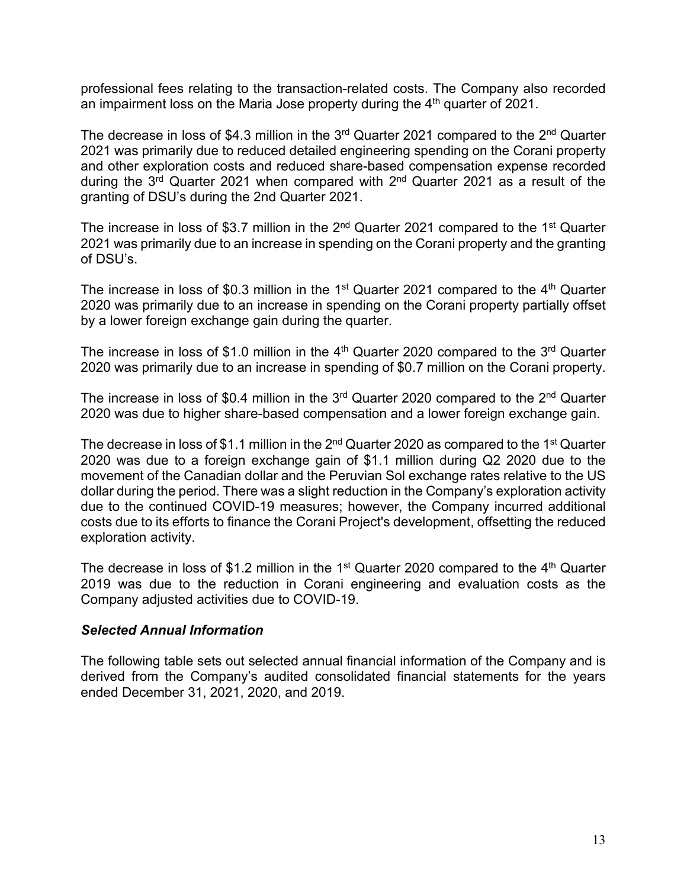professional fees relating to the transaction-related costs. The Company also recorded an impairment loss on the Maria Jose property during the  $4<sup>th</sup>$  quarter of 2021.

The decrease in loss of \$4.3 million in the  $3<sup>rd</sup>$  Quarter 2021 compared to the  $2<sup>nd</sup>$  Quarter 2021 was primarily due to reduced detailed engineering spending on the Corani property and other exploration costs and reduced share-based compensation expense recorded during the  $3<sup>rd</sup>$  Quarter 2021 when compared with  $2<sup>nd</sup>$  Quarter 2021 as a result of the granting of DSU's during the 2nd Quarter 2021.

The increase in loss of \$3.7 million in the  $2<sup>nd</sup>$  Quarter 2021 compared to the 1<sup>st</sup> Quarter 2021 was primarily due to an increase in spending on the Corani property and the granting of DSU's.

The increase in loss of \$0.3 million in the 1<sup>st</sup> Quarter 2021 compared to the  $4<sup>th</sup>$  Quarter 2020 was primarily due to an increase in spending on the Corani property partially offset by a lower foreign exchange gain during the quarter.

The increase in loss of \$1.0 million in the  $4<sup>th</sup>$  Quarter 2020 compared to the  $3<sup>rd</sup>$  Quarter 2020 was primarily due to an increase in spending of \$0.7 million on the Corani property.

The increase in loss of \$0.4 million in the  $3<sup>rd</sup>$  Quarter 2020 compared to the  $2<sup>nd</sup>$  Quarter 2020 was due to higher share-based compensation and a lower foreign exchange gain.

The decrease in loss of \$1.1 million in the  $2^{nd}$  Quarter 2020 as compared to the 1<sup>st</sup> Quarter 2020 was due to a foreign exchange gain of \$1.1 million during Q2 2020 due to the movement of the Canadian dollar and the Peruvian Sol exchange rates relative to the US dollar during the period. There was a slight reduction in the Company's exploration activity due to the continued COVID-19 measures; however, the Company incurred additional costs due to its efforts to finance the Corani Project's development, offsetting the reduced exploration activity.

The decrease in loss of \$1.2 million in the 1<sup>st</sup> Quarter 2020 compared to the  $4<sup>th</sup>$  Quarter 2019 was due to the reduction in Corani engineering and evaluation costs as the Company adjusted activities due to COVID-19.

#### *Selected Annual Information*

The following table sets out selected annual financial information of the Company and is derived from the Company's audited consolidated financial statements for the years ended December 31, 2021, 2020, and 2019.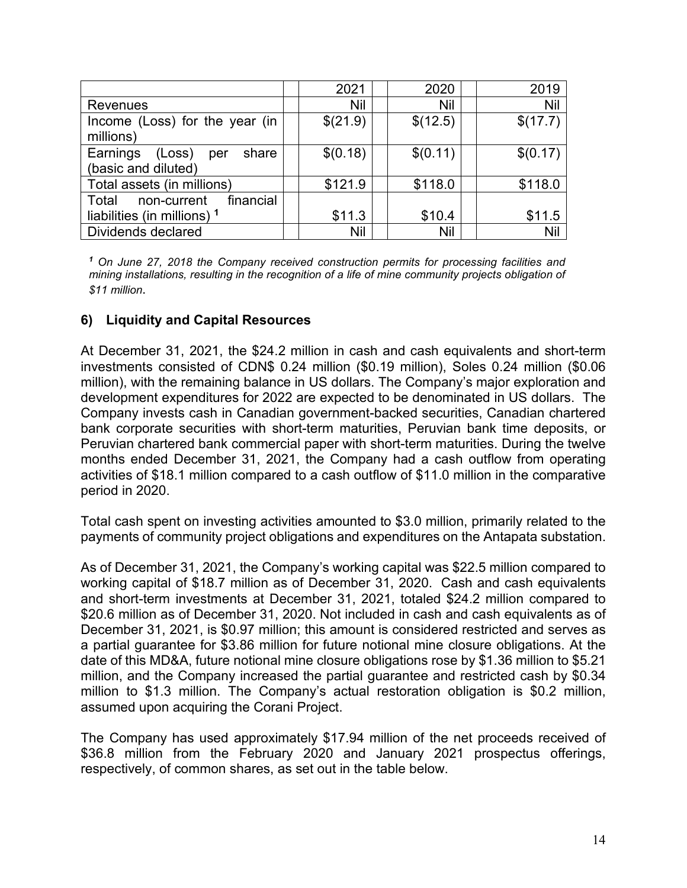|                                                           | 2021     | 2020       | 2019     |
|-----------------------------------------------------------|----------|------------|----------|
| <b>Revenues</b>                                           | Nil      | <b>Nil</b> | Nil      |
| Income (Loss) for the year (in<br>millions)               | \$(21.9) | \$(12.5)   | \$(17.7) |
| (Loss)<br>Earnings<br>share<br>per<br>(basic and diluted) | \$(0.18) | \$(0.11)   | \$(0.17) |
| Total assets (in millions)                                | \$121.9  | \$118.0    | \$118.0  |
| financial<br>Total<br>non-current                         |          |            |          |
| liabilities (in millions) 1                               | \$11.3   | \$10.4     | \$11.5   |
| Dividends declared                                        | Nil      | Nil        | Nil      |

*<sup>1</sup> On June 27, 2018 the Company received construction permits for processing facilities and mining installations, resulting in the recognition of a life of mine community projects obligation of \$11 million*.

### **6) Liquidity and Capital Resources**

At December 31, 2021, the \$24.2 million in cash and cash equivalents and short-term investments consisted of CDN\$ 0.24 million (\$0.19 million), Soles 0.24 million (\$0.06 million), with the remaining balance in US dollars. The Company's major exploration and development expenditures for 2022 are expected to be denominated in US dollars. The Company invests cash in Canadian government-backed securities, Canadian chartered bank corporate securities with short-term maturities, Peruvian bank time deposits, or Peruvian chartered bank commercial paper with short-term maturities. During the twelve months ended December 31, 2021, the Company had a cash outflow from operating activities of \$18.1 million compared to a cash outflow of \$11.0 million in the comparative period in 2020.

Total cash spent on investing activities amounted to \$3.0 million, primarily related to the payments of community project obligations and expenditures on the Antapata substation.

As of December 31, 2021, the Company's working capital was \$22.5 million compared to working capital of \$18.7 million as of December 31, 2020. Cash and cash equivalents and short-term investments at December 31, 2021, totaled \$24.2 million compared to \$20.6 million as of December 31, 2020. Not included in cash and cash equivalents as of December 31, 2021, is \$0.97 million; this amount is considered restricted and serves as a partial guarantee for \$3.86 million for future notional mine closure obligations. At the date of this MD&A, future notional mine closure obligations rose by \$1.36 million to \$5.21 million, and the Company increased the partial guarantee and restricted cash by \$0.34 million to \$1.3 million. The Company's actual restoration obligation is \$0.2 million, assumed upon acquiring the Corani Project.

The Company has used approximately \$17.94 million of the net proceeds received of \$36.8 million from the February 2020 and January 2021 prospectus offerings, respectively, of common shares, as set out in the table below.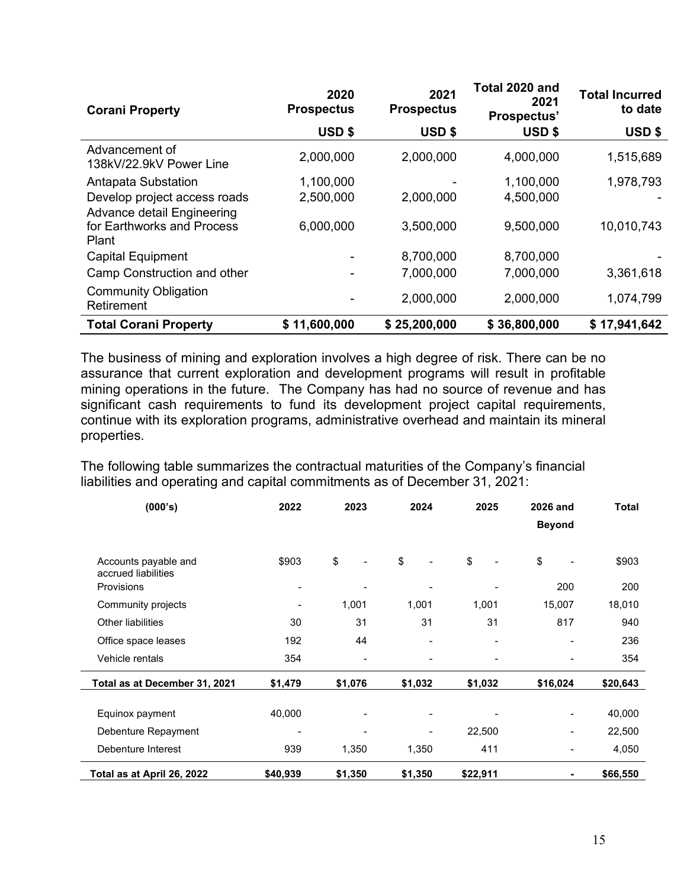| <b>Corani Property</b>                    | 2020<br><b>Prospectus</b> | 2021<br><b>Prospectus</b> | Total 2020 and<br>2021<br>Prospectus' | <b>Total Incurred</b><br>to date |
|-------------------------------------------|---------------------------|---------------------------|---------------------------------------|----------------------------------|
|                                           | USD <sub>\$</sub>         | <b>USD \$</b>             | USD <sub>\$</sub>                     | USD \$                           |
| Advancement of<br>138kV/22.9kV Power Line | 2,000,000                 | 2,000,000                 | 4,000,000                             | 1,515,689                        |
| Antapata Substation                       | 1,100,000                 |                           | 1,100,000                             | 1,978,793                        |
| Develop project access roads              | 2,500,000                 | 2,000,000                 | 4,500,000                             |                                  |
| Advance detail Engineering                |                           |                           |                                       |                                  |
| for Earthworks and Process<br>Plant       | 6,000,000                 | 3,500,000                 | 9,500,000                             | 10,010,743                       |
| <b>Capital Equipment</b>                  |                           | 8,700,000                 | 8,700,000                             |                                  |
| Camp Construction and other               |                           | 7,000,000                 | 7,000,000                             | 3,361,618                        |
| <b>Community Obligation</b><br>Retirement |                           | 2,000,000                 | 2,000,000                             | 1,074,799                        |
| <b>Total Corani Property</b>              | \$11,600,000              | \$25,200,000              | \$36,800,000                          | \$17,941,642                     |

The business of mining and exploration involves a high degree of risk. There can be no assurance that current exploration and development programs will result in profitable mining operations in the future. The Company has had no source of revenue and has significant cash requirements to fund its development project capital requirements, continue with its exploration programs, administrative overhead and maintain its mineral properties.

The following table summarizes the contractual maturities of the Company's financial liabilities and operating and capital commitments as of December 31, 2021:

| (000's)                                                          | 2022     | 2023    | 2024                     | 2025     | 2026 and<br><b>Beyond</b> | <b>Total</b> |
|------------------------------------------------------------------|----------|---------|--------------------------|----------|---------------------------|--------------|
| Accounts payable and<br>accrued liabilities<br><b>Provisions</b> | \$903    | \$      | \$                       | \$       | \$<br>200                 | \$903<br>200 |
| Community projects                                               |          | 1,001   | 1,001                    | 1,001    | 15,007                    | 18,010       |
| Other liabilities                                                | 30       | 31      | 31                       | 31       | 817                       | 940          |
| Office space leases                                              | 192      | 44      | $\overline{\phantom{0}}$ |          |                           | 236          |
| Vehicle rentals                                                  | 354      |         | $\blacksquare$           |          |                           | 354          |
| Total as at December 31, 2021                                    | \$1,479  | \$1,076 | \$1,032                  | \$1,032  | \$16,024                  | \$20,643     |
| Equinox payment                                                  | 40,000   |         |                          |          |                           | 40,000       |
| Debenture Repayment                                              |          |         | $\qquad \qquad$          | 22,500   |                           | 22,500       |
| Debenture Interest                                               | 939      | 1,350   | 1,350                    | 411      |                           | 4,050        |
| Total as at April 26, 2022                                       | \$40,939 | \$1,350 | \$1,350                  | \$22,911 |                           | \$66,550     |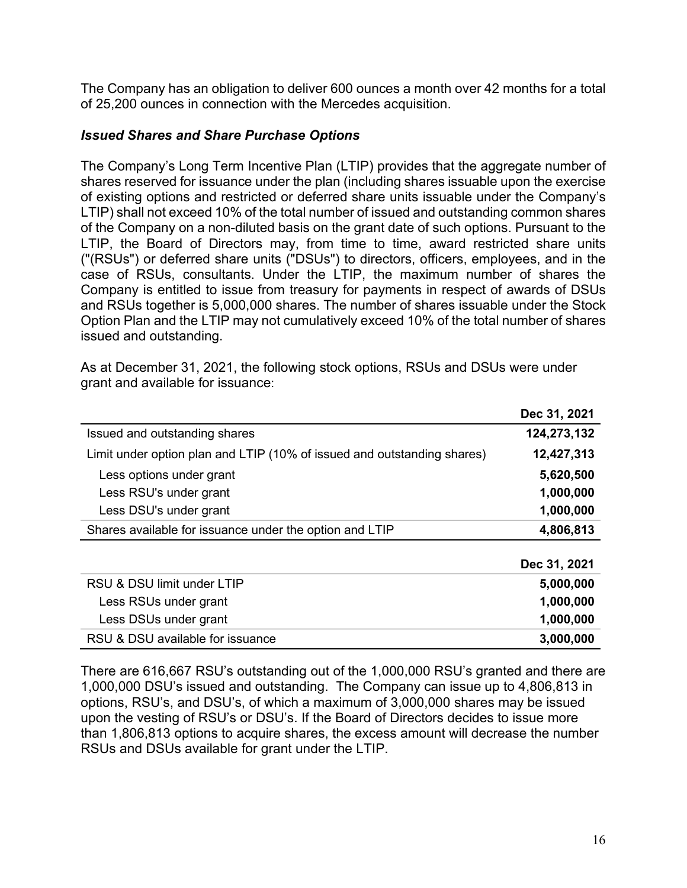The Company has an obligation to deliver 600 ounces a month over 42 months for a total of 25,200 ounces in connection with the Mercedes acquisition.

### *Issued Shares and Share Purchase Options*

The Company's Long Term Incentive Plan (LTIP) provides that the aggregate number of shares reserved for issuance under the plan (including shares issuable upon the exercise of existing options and restricted or deferred share units issuable under the Company's LTIP) shall not exceed 10% of the total number of issued and outstanding common shares of the Company on a non-diluted basis on the grant date of such options. Pursuant to the LTIP, the Board of Directors may, from time to time, award restricted share units ("(RSUs") or deferred share units ("DSUs") to directors, officers, employees, and in the case of RSUs, consultants. Under the LTIP, the maximum number of shares the Company is entitled to issue from treasury for payments in respect of awards of DSUs and RSUs together is 5,000,000 shares. The number of shares issuable under the Stock Option Plan and the LTIP may not cumulatively exceed 10% of the total number of shares issued and outstanding.

As at December 31, 2021, the following stock options, RSUs and DSUs were under grant and available for issuance:

|                                                                         | Dec 31, 2021 |
|-------------------------------------------------------------------------|--------------|
| Issued and outstanding shares                                           | 124,273,132  |
| Limit under option plan and LTIP (10% of issued and outstanding shares) | 12,427,313   |
| Less options under grant                                                | 5,620,500    |
| Less RSU's under grant                                                  | 1,000,000    |
| Less DSU's under grant                                                  | 1,000,000    |
| Shares available for issuance under the option and LTIP                 | 4,806,813    |
|                                                                         |              |
|                                                                         | Dec 31, 2021 |
| RSU & DSU limit under LTIP                                              | 5,000,000    |
| Less RSUs under grant                                                   | 1,000,000    |
| Less DSUs under grant                                                   | 1,000,000    |
| RSU & DSU available for issuance                                        | 3,000,000    |

There are 616,667 RSU's outstanding out of the 1,000,000 RSU's granted and there are 1,000,000 DSU's issued and outstanding. The Company can issue up to 4,806,813 in options, RSU's, and DSU's, of which a maximum of 3,000,000 shares may be issued upon the vesting of RSU's or DSU's. If the Board of Directors decides to issue more than 1,806,813 options to acquire shares, the excess amount will decrease the number RSUs and DSUs available for grant under the LTIP.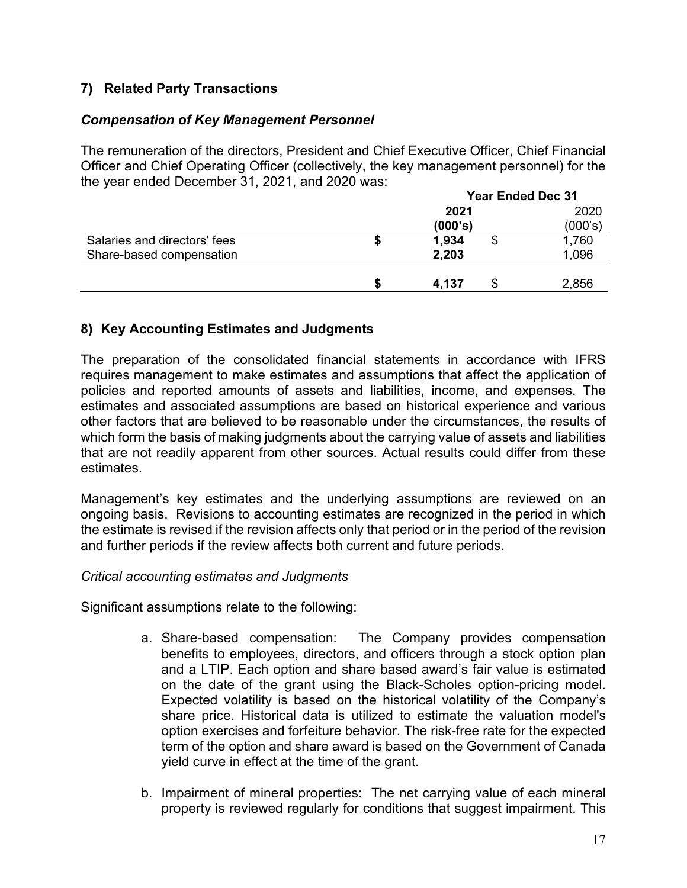# **7) Related Party Transactions**

### *Compensation of Key Management Personnel*

The remuneration of the directors, President and Chief Executive Officer, Chief Financial Officer and Chief Operating Officer (collectively, the key management personnel) for the the year ended December 31, 2021, and 2020 was:

|                              | <b>Year Ended Dec 31</b> |    |         |
|------------------------------|--------------------------|----|---------|
|                              | 2021                     |    | 2020    |
|                              | (000's)                  |    | (000's) |
| Salaries and directors' fees | 1,934                    | ъD | 1,760   |
| Share-based compensation     | 2,203                    |    | 1,096   |
|                              |                          |    |         |
|                              | 4,137                    |    | 2,856   |

### **8) Key Accounting Estimates and Judgments**

The preparation of the consolidated financial statements in accordance with IFRS requires management to make estimates and assumptions that affect the application of policies and reported amounts of assets and liabilities, income, and expenses. The estimates and associated assumptions are based on historical experience and various other factors that are believed to be reasonable under the circumstances, the results of which form the basis of making judgments about the carrying value of assets and liabilities that are not readily apparent from other sources. Actual results could differ from these estimates.

Management's key estimates and the underlying assumptions are reviewed on an ongoing basis. Revisions to accounting estimates are recognized in the period in which the estimate is revised if the revision affects only that period or in the period of the revision and further periods if the review affects both current and future periods.

#### *Critical accounting estimates and Judgments*

Significant assumptions relate to the following:

- a. Share-based compensation: The Company provides compensation benefits to employees, directors, and officers through a stock option plan and a LTIP. Each option and share based award's fair value is estimated on the date of the grant using the Black-Scholes option-pricing model. Expected volatility is based on the historical volatility of the Company's share price. Historical data is utilized to estimate the valuation model's option exercises and forfeiture behavior. The risk-free rate for the expected term of the option and share award is based on the Government of Canada yield curve in effect at the time of the grant.
- b. Impairment of mineral properties: The net carrying value of each mineral property is reviewed regularly for conditions that suggest impairment. This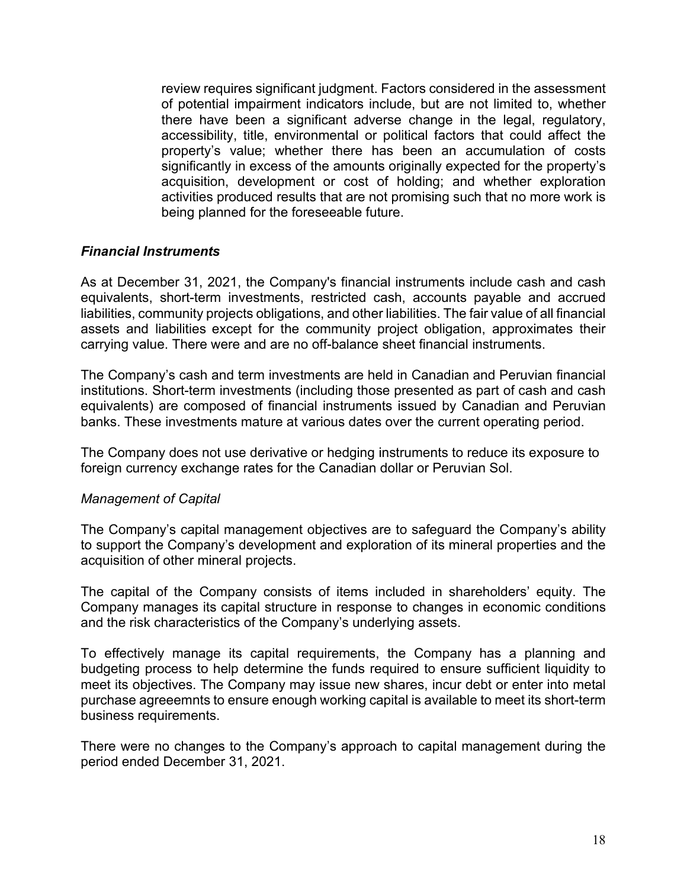review requires significant judgment. Factors considered in the assessment of potential impairment indicators include, but are not limited to, whether there have been a significant adverse change in the legal, regulatory, accessibility, title, environmental or political factors that could affect the property's value; whether there has been an accumulation of costs significantly in excess of the amounts originally expected for the property's acquisition, development or cost of holding; and whether exploration activities produced results that are not promising such that no more work is being planned for the foreseeable future.

#### *Financial Instruments*

As at December 31, 2021, the Company's financial instruments include cash and cash equivalents, short-term investments, restricted cash, accounts payable and accrued liabilities, community projects obligations, and other liabilities. The fair value of all financial assets and liabilities except for the community project obligation, approximates their carrying value. There were and are no off-balance sheet financial instruments.

The Company's cash and term investments are held in Canadian and Peruvian financial institutions. Short-term investments (including those presented as part of cash and cash equivalents) are composed of financial instruments issued by Canadian and Peruvian banks. These investments mature at various dates over the current operating period.

The Company does not use derivative or hedging instruments to reduce its exposure to foreign currency exchange rates for the Canadian dollar or Peruvian Sol.

#### *Management of Capital*

The Company's capital management objectives are to safeguard the Company's ability to support the Company's development and exploration of its mineral properties and the acquisition of other mineral projects.

The capital of the Company consists of items included in shareholders' equity. The Company manages its capital structure in response to changes in economic conditions and the risk characteristics of the Company's underlying assets.

To effectively manage its capital requirements, the Company has a planning and budgeting process to help determine the funds required to ensure sufficient liquidity to meet its objectives. The Company may issue new shares, incur debt or enter into metal purchase agreeemnts to ensure enough working capital is available to meet its short-term business requirements.

There were no changes to the Company's approach to capital management during the period ended December 31, 2021.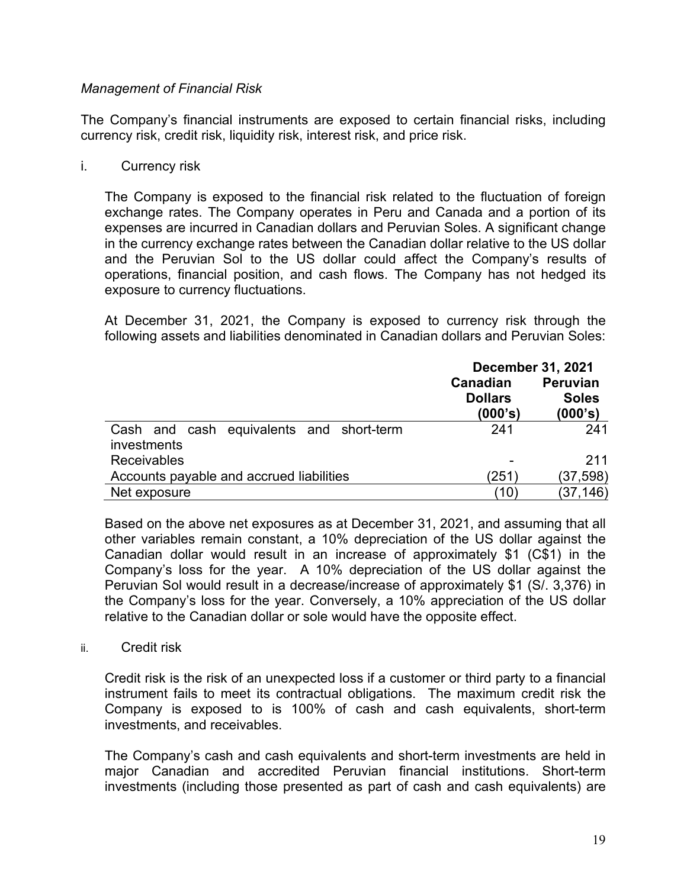#### *Management of Financial Risk*

The Company's financial instruments are exposed to certain financial risks, including currency risk, credit risk, liquidity risk, interest risk, and price risk.

#### i. Currency risk

The Company is exposed to the financial risk related to the fluctuation of foreign exchange rates. The Company operates in Peru and Canada and a portion of its expenses are incurred in Canadian dollars and Peruvian Soles. A significant change in the currency exchange rates between the Canadian dollar relative to the US dollar and the Peruvian Sol to the US dollar could affect the Company's results of operations, financial position, and cash flows. The Company has not hedged its exposure to currency fluctuations.

At December 31, 2021, the Company is exposed to currency risk through the following assets and liabilities denominated in Canadian dollars and Peruvian Soles:

|                                                         | <b>December 31, 2021</b>              |                                            |  |
|---------------------------------------------------------|---------------------------------------|--------------------------------------------|--|
|                                                         | Canadian<br><b>Dollars</b><br>(000's) | <b>Peruvian</b><br><b>Soles</b><br>(000's) |  |
| Cash and cash equivalents and short-term<br>investments | 241                                   | 241                                        |  |
| <b>Receivables</b>                                      |                                       | 211                                        |  |
| Accounts payable and accrued liabilities                | (251)                                 | (37, 598)                                  |  |
| Net exposure                                            | (10)                                  | (37, 146)                                  |  |

Based on the above net exposures as at December 31, 2021, and assuming that all other variables remain constant, a 10% depreciation of the US dollar against the Canadian dollar would result in an increase of approximately \$1 (C\$1) in the Company's loss for the year. A 10% depreciation of the US dollar against the Peruvian Sol would result in a decrease/increase of approximately \$1 (S/. 3,376) in the Company's loss for the year. Conversely, a 10% appreciation of the US dollar relative to the Canadian dollar or sole would have the opposite effect.

ii. Credit risk

Credit risk is the risk of an unexpected loss if a customer or third party to a financial instrument fails to meet its contractual obligations. The maximum credit risk the Company is exposed to is 100% of cash and cash equivalents, short-term investments, and receivables.

The Company's cash and cash equivalents and short-term investments are held in major Canadian and accredited Peruvian financial institutions. Short-term investments (including those presented as part of cash and cash equivalents) are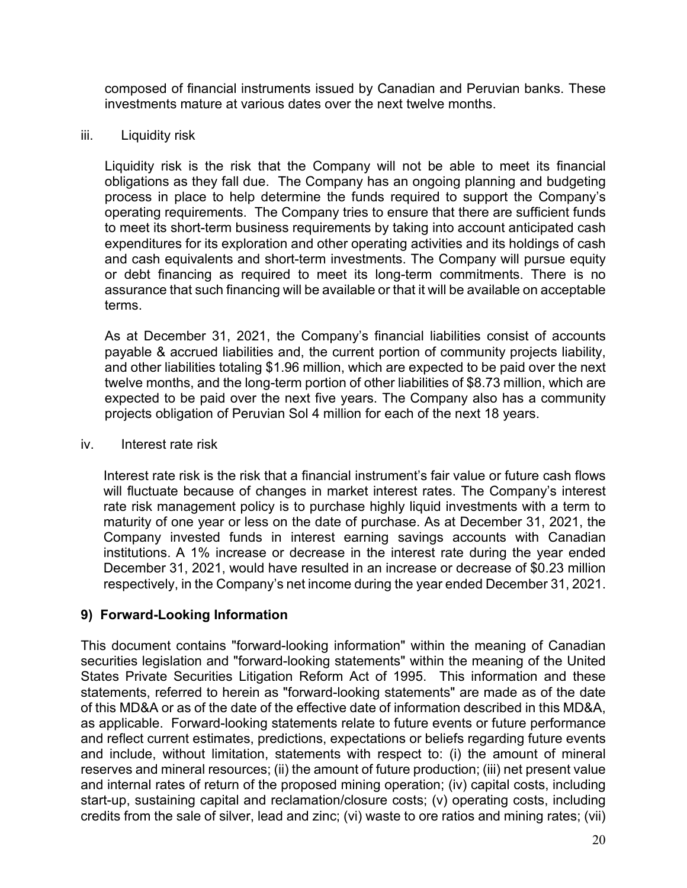composed of financial instruments issued by Canadian and Peruvian banks. These investments mature at various dates over the next twelve months.

#### iii. Liquidity risk

Liquidity risk is the risk that the Company will not be able to meet its financial obligations as they fall due. The Company has an ongoing planning and budgeting process in place to help determine the funds required to support the Company's operating requirements. The Company tries to ensure that there are sufficient funds to meet its short-term business requirements by taking into account anticipated cash expenditures for its exploration and other operating activities and its holdings of cash and cash equivalents and short-term investments. The Company will pursue equity or debt financing as required to meet its long-term commitments. There is no assurance that such financing will be available or that it will be available on acceptable terms.

As at December 31, 2021, the Company's financial liabilities consist of accounts payable & accrued liabilities and, the current portion of community projects liability, and other liabilities totaling \$1.96 million, which are expected to be paid over the next twelve months, and the long-term portion of other liabilities of \$8.73 million, which are expected to be paid over the next five years. The Company also has a community projects obligation of Peruvian Sol 4 million for each of the next 18 years.

#### iv. Interest rate risk

Interest rate risk is the risk that a financial instrument's fair value or future cash flows will fluctuate because of changes in market interest rates. The Company's interest rate risk management policy is to purchase highly liquid investments with a term to maturity of one year or less on the date of purchase. As at December 31, 2021, the Company invested funds in interest earning savings accounts with Canadian institutions. A 1% increase or decrease in the interest rate during the year ended December 31, 2021, would have resulted in an increase or decrease of \$0.23 million respectively, in the Company's net income during the year ended December 31, 2021.

## **9) Forward-Looking Information**

This document contains "forward-looking information" within the meaning of Canadian securities legislation and "forward-looking statements" within the meaning of the United States Private Securities Litigation Reform Act of 1995. This information and these statements, referred to herein as "forward-looking statements" are made as of the date of this MD&A or as of the date of the effective date of information described in this MD&A, as applicable. Forward-looking statements relate to future events or future performance and reflect current estimates, predictions, expectations or beliefs regarding future events and include, without limitation, statements with respect to: (i) the amount of mineral reserves and mineral resources; (ii) the amount of future production; (iii) net present value and internal rates of return of the proposed mining operation; (iv) capital costs, including start-up, sustaining capital and reclamation/closure costs; (v) operating costs, including credits from the sale of silver, lead and zinc; (vi) waste to ore ratios and mining rates; (vii)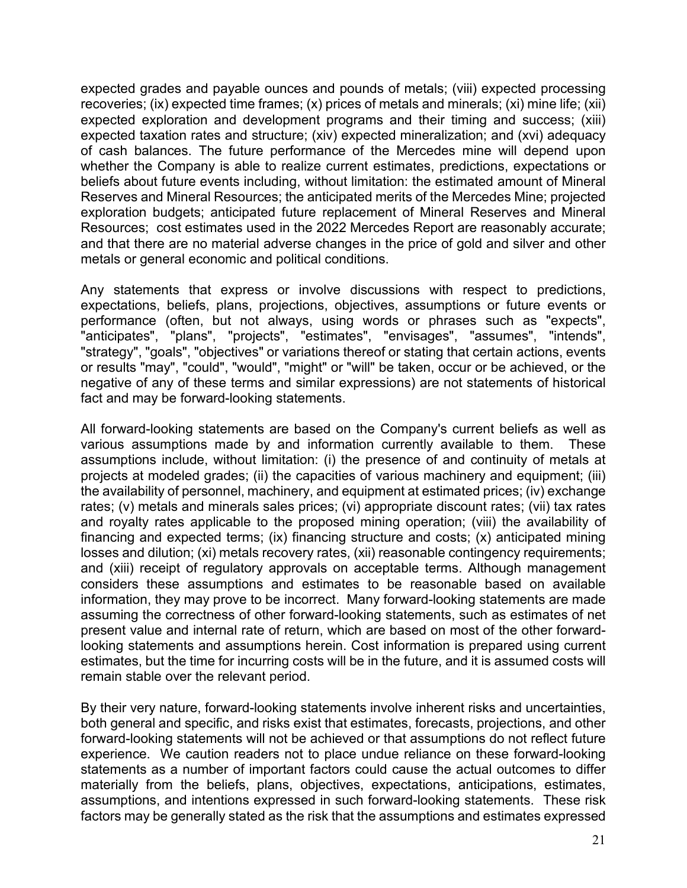expected grades and payable ounces and pounds of metals; (viii) expected processing recoveries; (ix) expected time frames; (x) prices of metals and minerals; (xi) mine life; (xii) expected exploration and development programs and their timing and success; (xiii) expected taxation rates and structure; (xiv) expected mineralization; and (xvi) adequacy of cash balances. The future performance of the Mercedes mine will depend upon whether the Company is able to realize current estimates, predictions, expectations or beliefs about future events including, without limitation: the estimated amount of Mineral Reserves and Mineral Resources; the anticipated merits of the Mercedes Mine; projected exploration budgets; anticipated future replacement of Mineral Reserves and Mineral Resources; cost estimates used in the 2022 Mercedes Report are reasonably accurate; and that there are no material adverse changes in the price of gold and silver and other metals or general economic and political conditions.

Any statements that express or involve discussions with respect to predictions, expectations, beliefs, plans, projections, objectives, assumptions or future events or performance (often, but not always, using words or phrases such as "expects", "anticipates", "plans", "projects", "estimates", "envisages", "assumes", "intends", "strategy", "goals", "objectives" or variations thereof or stating that certain actions, events or results "may", "could", "would", "might" or "will" be taken, occur or be achieved, or the negative of any of these terms and similar expressions) are not statements of historical fact and may be forward-looking statements.

All forward-looking statements are based on the Company's current beliefs as well as various assumptions made by and information currently available to them. These assumptions include, without limitation: (i) the presence of and continuity of metals at projects at modeled grades; (ii) the capacities of various machinery and equipment; (iii) the availability of personnel, machinery, and equipment at estimated prices; (iv) exchange rates; (v) metals and minerals sales prices; (vi) appropriate discount rates; (vii) tax rates and royalty rates applicable to the proposed mining operation; (viii) the availability of financing and expected terms; (ix) financing structure and costs; (x) anticipated mining losses and dilution; (xi) metals recovery rates, (xii) reasonable contingency requirements; and (xiii) receipt of regulatory approvals on acceptable terms. Although management considers these assumptions and estimates to be reasonable based on available information, they may prove to be incorrect. Many forward-looking statements are made assuming the correctness of other forward-looking statements, such as estimates of net present value and internal rate of return, which are based on most of the other forwardlooking statements and assumptions herein. Cost information is prepared using current estimates, but the time for incurring costs will be in the future, and it is assumed costs will remain stable over the relevant period.

By their very nature, forward-looking statements involve inherent risks and uncertainties, both general and specific, and risks exist that estimates, forecasts, projections, and other forward-looking statements will not be achieved or that assumptions do not reflect future experience. We caution readers not to place undue reliance on these forward-looking statements as a number of important factors could cause the actual outcomes to differ materially from the beliefs, plans, objectives, expectations, anticipations, estimates, assumptions, and intentions expressed in such forward-looking statements. These risk factors may be generally stated as the risk that the assumptions and estimates expressed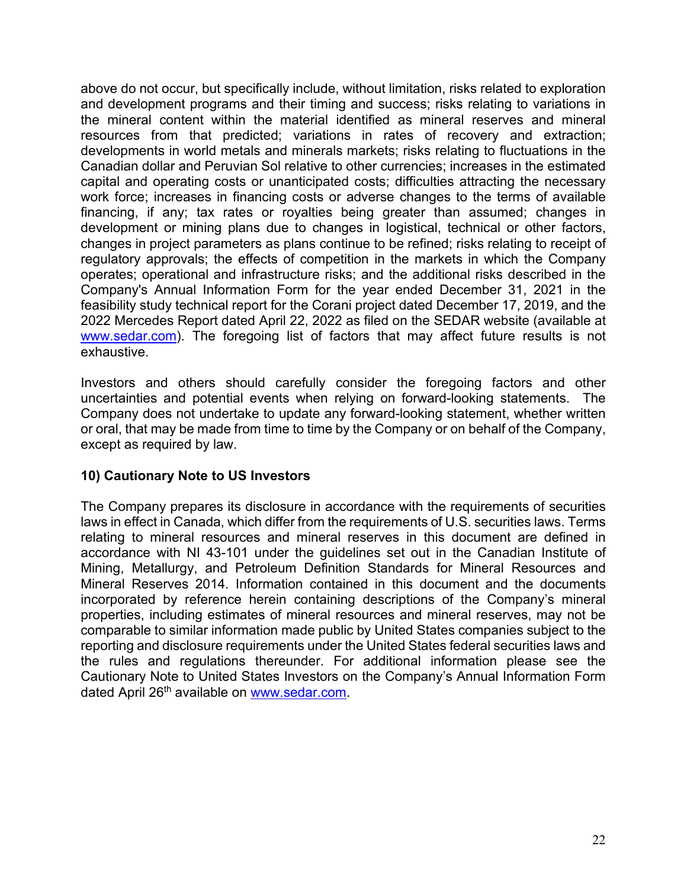above do not occur, but specifically include, without limitation, risks related to exploration and development programs and their timing and success; risks relating to variations in the mineral content within the material identified as mineral reserves and mineral resources from that predicted; variations in rates of recovery and extraction; developments in world metals and minerals markets; risks relating to fluctuations in the Canadian dollar and Peruvian Sol relative to other currencies; increases in the estimated capital and operating costs or unanticipated costs; difficulties attracting the necessary work force; increases in financing costs or adverse changes to the terms of available financing, if any; tax rates or royalties being greater than assumed; changes in development or mining plans due to changes in logistical, technical or other factors, changes in project parameters as plans continue to be refined; risks relating to receipt of regulatory approvals; the effects of competition in the markets in which the Company operates; operational and infrastructure risks; and the additional risks described in the Company's Annual Information Form for the year ended December 31, 2021 in the feasibility study technical report for the Corani project dated December 17, 2019, and the 2022 Mercedes Report dated April 22, 2022 as filed on the SEDAR website (available at [www.sedar.com\)](http://www.sedar.com/). The foregoing list of factors that may affect future results is not exhaustive.

Investors and others should carefully consider the foregoing factors and other uncertainties and potential events when relying on forward-looking statements. The Company does not undertake to update any forward-looking statement, whether written or oral, that may be made from time to time by the Company or on behalf of the Company, except as required by law.

## **10) Cautionary Note to US Investors**

The Company prepares its disclosure in accordance with the requirements of securities laws in effect in Canada, which differ from the requirements of U.S. securities laws. Terms relating to mineral resources and mineral reserves in this document are defined in accordance with NI 43-101 under the guidelines set out in the Canadian Institute of Mining, Metallurgy, and Petroleum Definition Standards for Mineral Resources and Mineral Reserves 2014. Information contained in this document and the documents incorporated by reference herein containing descriptions of the Company's mineral properties, including estimates of mineral resources and mineral reserves, may not be comparable to similar information made public by United States companies subject to the reporting and disclosure requirements under the United States federal securities laws and the rules and regulations thereunder. For additional information please see the Cautionary Note to United States Investors on the Company's Annual Information Form dated April 26th available on [www.sedar.com.](http://www.sedar.com/)